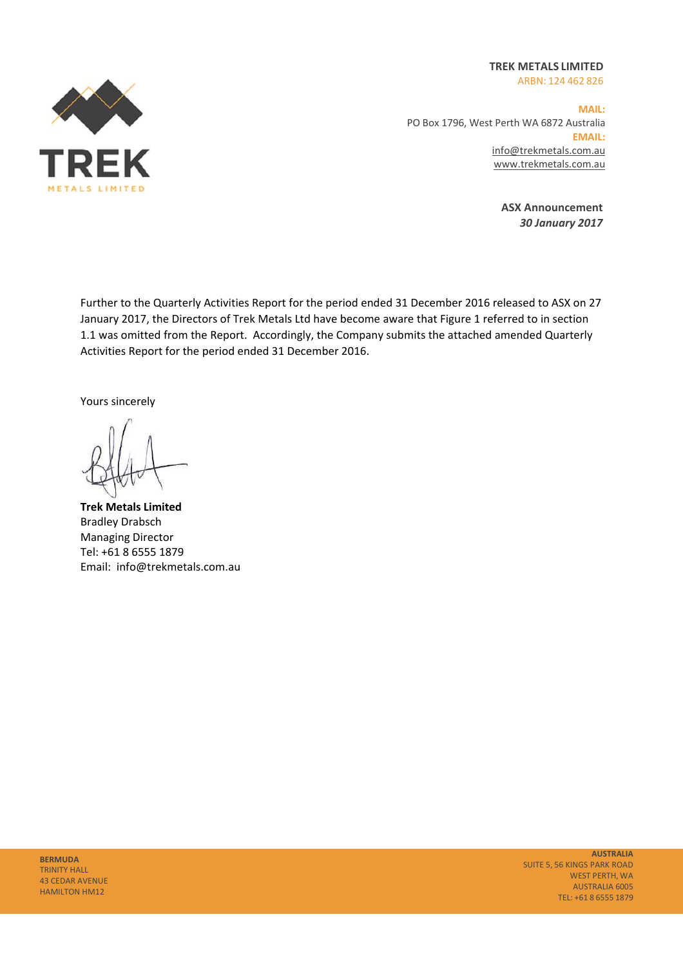**TREK METALS LIMITED**  ARBN: 124 462 826



**MAIL:**  PO Box 1796, West Perth WA 6872 Australia **EMAIL:** info@trekmetals.com.au www.trekmetals.com.au

> **ASX Announcement**  *30 January 2017*

Further to the Quarterly Activities Report for the period ended 31 December 2016 released to ASX on 27 January 2017, the Directors of Trek Metals Ltd have become aware that Figure 1 referred to in section 1.1 was omitted from the Report. Accordingly, the Company submits the attached amended Quarterly Activities Report for the period ended 31 December 2016.

Yours sincerely

**Trek Metals Limited**  Bradley Drabsch Managing Director Tel: +61 8 6555 1879 Email: info@trekmetals.com.au

**AUSTRALIA** SUITE 5, 56 KINGS PARK ROAD WEST PERTH, WA AUSTRALIA 6005 TEL: +61 8 6555 1879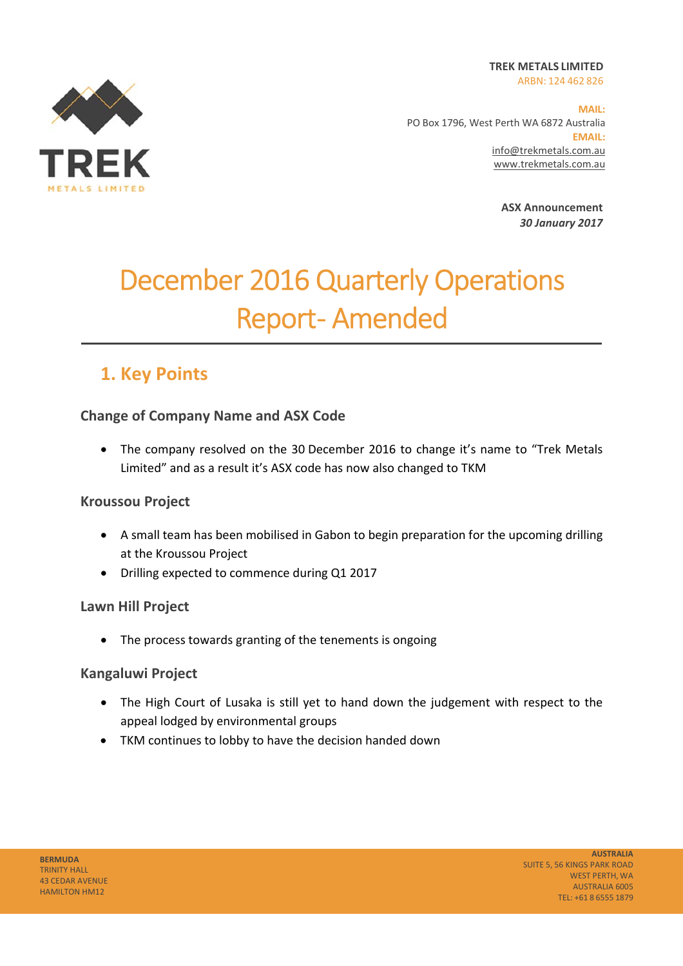**TREK METALS LIMITED**  ARBN: 124 462 826



**MAIL:**  PO Box 1796, West Perth WA 6872 Australia **EMAIL:** info@trekmetals.com.au www.trekmetals.com.au

> **ASX Announcement**  *30 January 2017*

# December 2016 Quarterly Operations **Report-Amended**

## **1. Key Points**

#### **Change of Company Name and ASX Code**

• The company resolved on the 30 December 2016 to change it's name to "Trek Metals Limited" and as a result it's ASX code has now also changed to TKM

#### **Kroussou Project**

- A small team has been mobilised in Gabon to begin preparation for the upcoming drilling at the Kroussou Project
- Drilling expected to commence during Q1 2017

#### **Lawn Hill Project**

• The process towards granting of the tenements is ongoing

#### **Kangaluwi Project**

- The High Court of Lusaka is still yet to hand down the judgement with respect to the appeal lodged by environmental groups
- TKM continues to lobby to have the decision handed down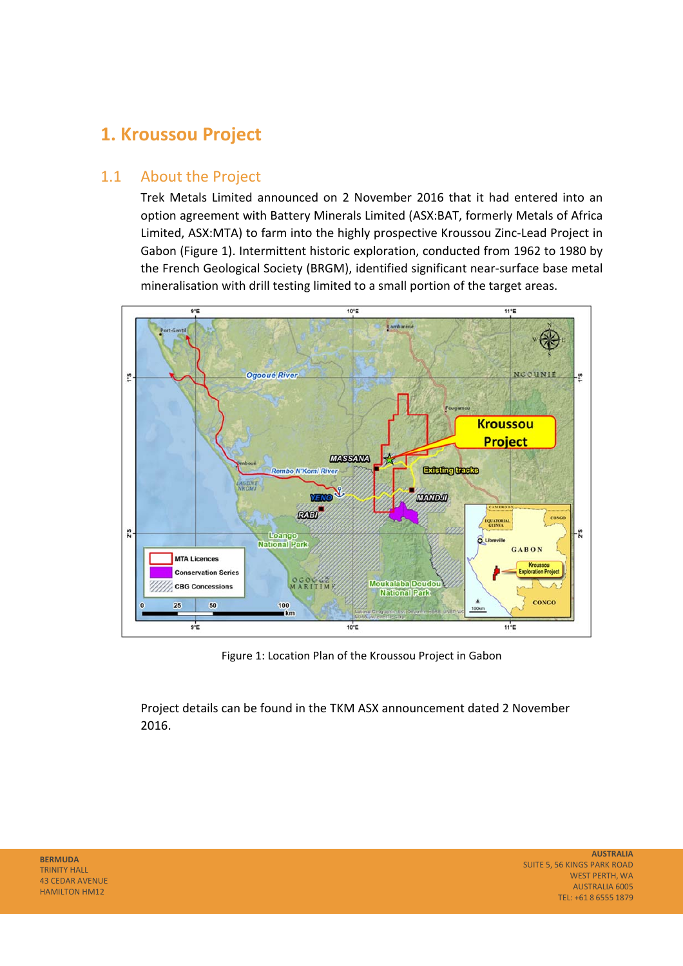## **1. Kroussou Project**

#### 1.1 About the Project

Trek Metals Limited announced on 2 November 2016 that it had entered into an option agreement with Battery Minerals Limited (ASX:BAT, formerly Metals of Africa Limited, ASX:MTA) to farm into the highly prospective Kroussou Zinc‐Lead Project in Gabon (Figure 1). Intermittent historic exploration, conducted from 1962 to 1980 by the French Geological Society (BRGM), identified significant near‐surface base metal mineralisation with drill testing limited to a small portion of the target areas.



Figure 1: Location Plan of the Kroussou Project in Gabon

Project details can be found in the TKM ASX announcement dated 2 November 2016.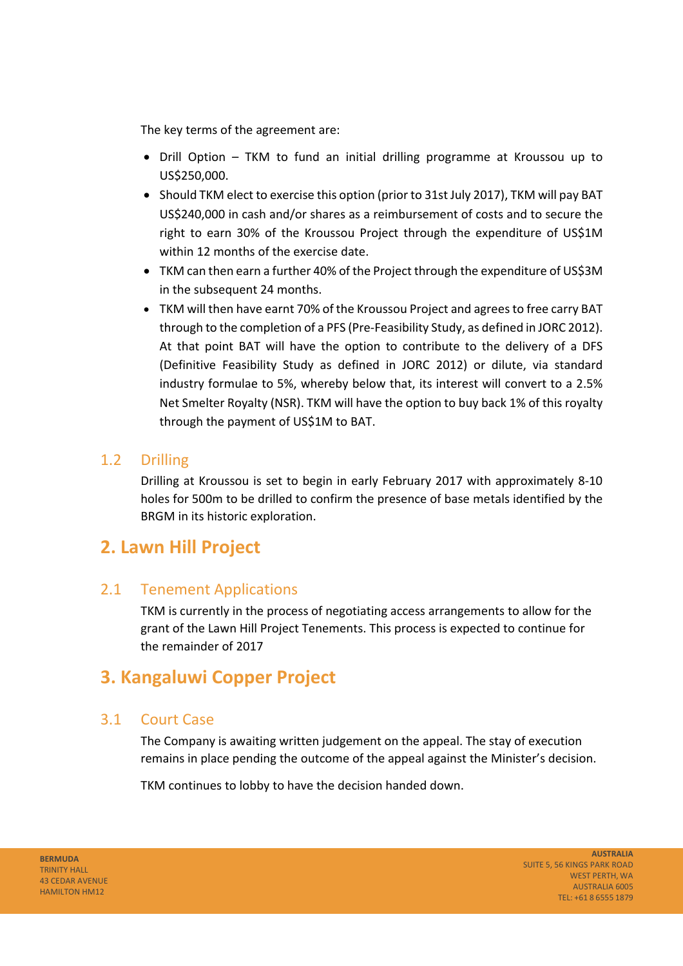The key terms of the agreement are:

- Drill Option TKM to fund an initial drilling programme at Kroussou up to US\$250,000.
- Should TKM elect to exercise this option (prior to 31st July 2017), TKM will pay BAT US\$240,000 in cash and/or shares as a reimbursement of costs and to secure the right to earn 30% of the Kroussou Project through the expenditure of US\$1M within 12 months of the exercise date.
- TKM can then earn a further 40% of the Project through the expenditure of US\$3M in the subsequent 24 months.
- TKM will then have earnt 70% of the Kroussou Project and agrees to free carry BAT through to the completion of a PFS (Pre‐Feasibility Study, as defined in JORC 2012). At that point BAT will have the option to contribute to the delivery of a DFS (Definitive Feasibility Study as defined in JORC 2012) or dilute, via standard industry formulae to 5%, whereby below that, its interest will convert to a 2.5% Net Smelter Royalty (NSR). TKM will have the option to buy back 1% of this royalty through the payment of US\$1M to BAT.

#### 1.2 Drilling

Drilling at Kroussou is set to begin in early February 2017 with approximately 8‐10 holes for 500m to be drilled to confirm the presence of base metals identified by the BRGM in its historic exploration.

## **2. Lawn Hill Project**

#### 2.1 Tenement Applications

TKM is currently in the process of negotiating access arrangements to allow for the grant of the Lawn Hill Project Tenements. This process is expected to continue for the remainder of 2017

## **3. Kangaluwi Copper Project**

#### 3.1 Court Case

The Company is awaiting written judgement on the appeal. The stay of execution remains in place pending the outcome of the appeal against the Minister's decision.

TKM continues to lobby to have the decision handed down.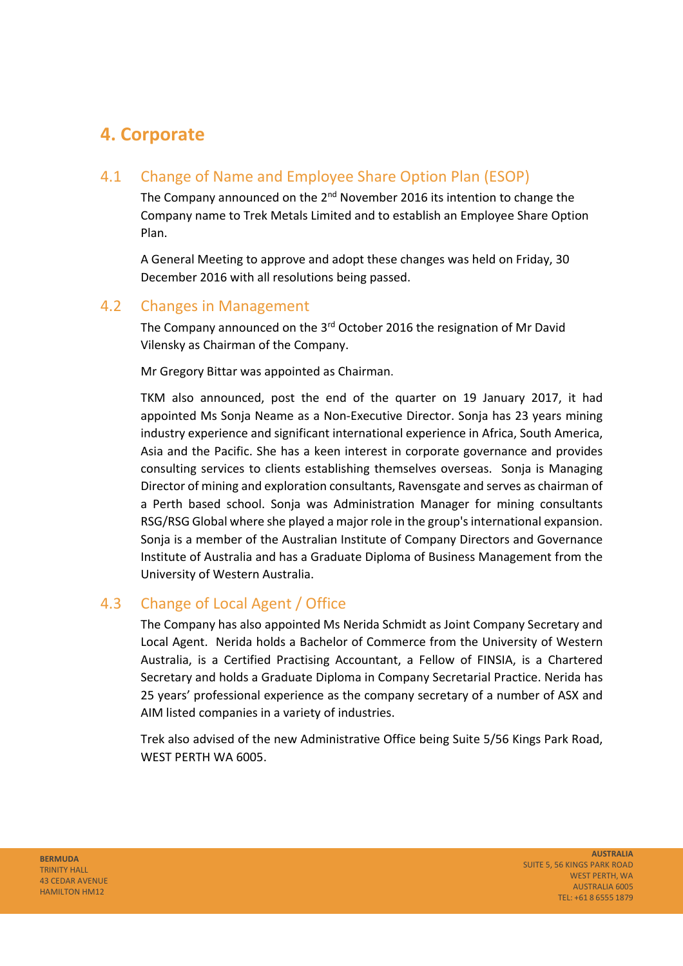## **4. Corporate**

### 4.1 Change of Name and Employee Share Option Plan (ESOP)

The Company announced on the 2<sup>nd</sup> November 2016 its intention to change the Company name to Trek Metals Limited and to establish an Employee Share Option Plan.

A General Meeting to approve and adopt these changes was held on Friday, 30 December 2016 with all resolutions being passed.

#### 4.2 Changes in Management

The Company announced on the 3<sup>rd</sup> October 2016 the resignation of Mr David Vilensky as Chairman of the Company.

Mr Gregory Bittar was appointed as Chairman.

TKM also announced, post the end of the quarter on 19 January 2017, it had appointed Ms Sonja Neame as a Non‐Executive Director. Sonja has 23 years mining industry experience and significant international experience in Africa, South America, Asia and the Pacific. She has a keen interest in corporate governance and provides consulting services to clients establishing themselves overseas. Sonja is Managing Director of mining and exploration consultants, Ravensgate and serves as chairman of a Perth based school. Sonja was Administration Manager for mining consultants RSG/RSG Global where she played a major role in the group's international expansion. Sonja is a member of the Australian Institute of Company Directors and Governance Institute of Australia and has a Graduate Diploma of Business Management from the University of Western Australia.

#### 4.3 Change of Local Agent / Office

The Company has also appointed Ms Nerida Schmidt as Joint Company Secretary and Local Agent. Nerida holds a Bachelor of Commerce from the University of Western Australia, is a Certified Practising Accountant, a Fellow of FINSIA, is a Chartered Secretary and holds a Graduate Diploma in Company Secretarial Practice. Nerida has 25 years' professional experience as the company secretary of a number of ASX and AIM listed companies in a variety of industries.

Trek also advised of the new Administrative Office being Suite 5/56 Kings Park Road, WEST PERTH WA 6005.